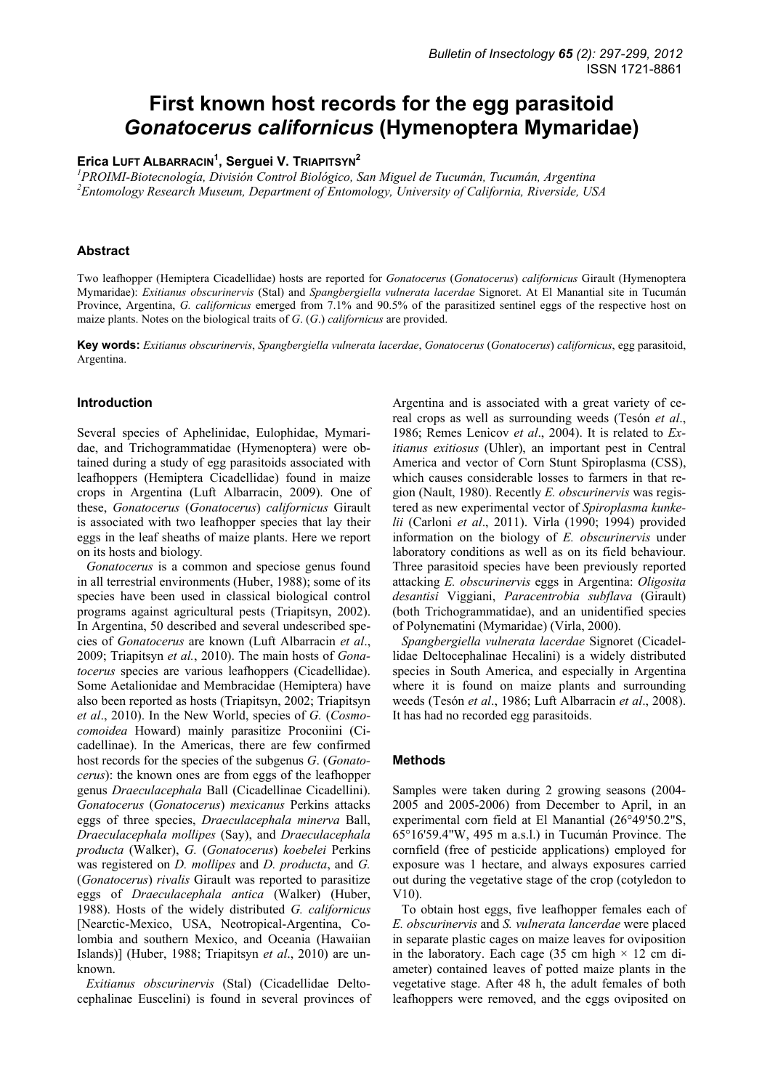# **First known host records for the egg parasitoid**  *Gonatocerus californicus* **(Hymenoptera Mymaridae)**

# **Erica LUFT ALBARRACIN<sup>1</sup> , Serguei V. TRIAPITSYN2**

*1 PROIMI-Biotecnología, División Control Biológico, San Miguel de Tucumán, Tucumán, Argentina 2 Entomology Research Museum, Department of Entomology, University of California, Riverside, USA* 

## **Abstract**

Two leafhopper (Hemiptera Cicadellidae) hosts are reported for *Gonatocerus* (*Gonatocerus*) *californicus* Girault (Hymenoptera Mymaridae): *Exitianus obscurinervis* (Stal) and *Spangbergiella vulnerata lacerdae* Signoret. At El Manantial site in Tucumán Province, Argentina, *G. californicus* emerged from 7.1% and 90.5% of the parasitized sentinel eggs of the respective host on maize plants. Notes on the biological traits of *G*. (*G*.) *californicus* are provided.

**Key words:** *Exitianus obscurinervis*, *Spangbergiella vulnerata lacerdae*, *Gonatocerus* (*Gonatocerus*) *californicus*, egg parasitoid, Argentina.

#### **Introduction**

Several species of Aphelinidae, Eulophidae, Mymaridae, and Trichogrammatidae (Hymenoptera) were obtained during a study of egg parasitoids associated with leafhoppers (Hemiptera Cicadellidae) found in maize crops in Argentina (Luft Albarracin, 2009). One of these, *Gonatocerus* (*Gonatocerus*) *californicus* Girault is associated with two leafhopper species that lay their eggs in the leaf sheaths of maize plants. Here we report on its hosts and biology*.*

*Gonatocerus* is a common and speciose genus found in all terrestrial environments (Huber, 1988); some of its species have been used in classical biological control programs against agricultural pests (Triapitsyn, 2002). In Argentina, 50 described and several undescribed species of *Gonatocerus* are known (Luft Albarracin *et al*., 2009; Triapitsyn *et al.*, 2010). The main hosts of *Gonatocerus* species are various leafhoppers (Cicadellidae). Some Aetalionidae and Membracidae (Hemiptera) have also been reported as hosts (Triapitsyn, 2002; Triapitsyn *et al*., 2010). In the New World, species of *G.* (*Cosmocomoidea* Howard) mainly parasitize Proconiini (Cicadellinae). In the Americas, there are few confirmed host records for the species of the subgenus *G*. (*Gonatocerus*): the known ones are from eggs of the leafhopper genus *Draeculacephala* Ball (Cicadellinae Cicadellini). *Gonatocerus* (*Gonatocerus*) *mexicanus* Perkins attacks eggs of three species, *Draeculacephala minerva* Ball, *Draeculacephala mollipes* (Say), and *Draeculacephala producta* (Walker), *G.* (*Gonatocerus*) *koebelei* Perkins was registered on *D. mollipes* and *D. producta*, and *G.*  (*Gonatocerus*) *rivalis* Girault was reported to parasitize eggs of *Draeculacephala antica* (Walker) (Huber, 1988). Hosts of the widely distributed *G. californicus* [Nearctic-Mexico, USA, Neotropical-Argentina, Colombia and southern Mexico, and Oceania (Hawaiian Islands)] (Huber, 1988; Triapitsyn *et al*., 2010) are unknown.

*Exitianus obscurinervis* (Stal) (Cicadellidae Deltocephalinae Euscelini) is found in several provinces of Argentina and is associated with a great variety of cereal crops as well as surrounding weeds (Tesón *et al*., 1986; Remes Lenicov *et al*., 2004). It is related to *Exitianus exitiosus* (Uhler), an important pest in Central America and vector of Corn Stunt Spiroplasma (CSS), which causes considerable losses to farmers in that region (Nault, 1980). Recently *E. obscurinervis* was registered as new experimental vector of *Spiroplasma kunkelii* (Carloni *et al*., 2011). Virla (1990; 1994) provided information on the biology of *E. obscurinervis* under laboratory conditions as well as on its field behaviour. Three parasitoid species have been previously reported attacking *E. obscurinervis* eggs in Argentina: *Oligosita desantisi* Viggiani, *Paracentrobia subflava* (Girault) (both Trichogrammatidae), and an unidentified species of Polynematini (Mymaridae) (Virla, 2000).

*Spangbergiella vulnerata lacerdae* Signoret (Cicadellidae Deltocephalinae Hecalini) is a widely distributed species in South America, and especially in Argentina where it is found on maize plants and surrounding weeds (Tesón *et al*., 1986; Luft Albarracin *et al*., 2008). It has had no recorded egg parasitoids.

#### **Methods**

Samples were taken during 2 growing seasons (2004- 2005 and 2005-2006) from December to April, in an experimental corn field at El Manantial (26°49'50.2"S, 65°16'59.4"W, 495 m a.s.l.) in Tucumán Province. The cornfield (free of pesticide applications) employed for exposure was 1 hectare, and always exposures carried out during the vegetative stage of the crop (cotyledon to V10).

To obtain host eggs, five leafhopper females each of *E. obscurinervis* and *S. vulnerata lancerdae* were placed in separate plastic cages on maize leaves for oviposition in the laboratory. Each cage (35 cm high  $\times$  12 cm diameter) contained leaves of potted maize plants in the vegetative stage. After 48 h, the adult females of both leafhoppers were removed, and the eggs oviposited on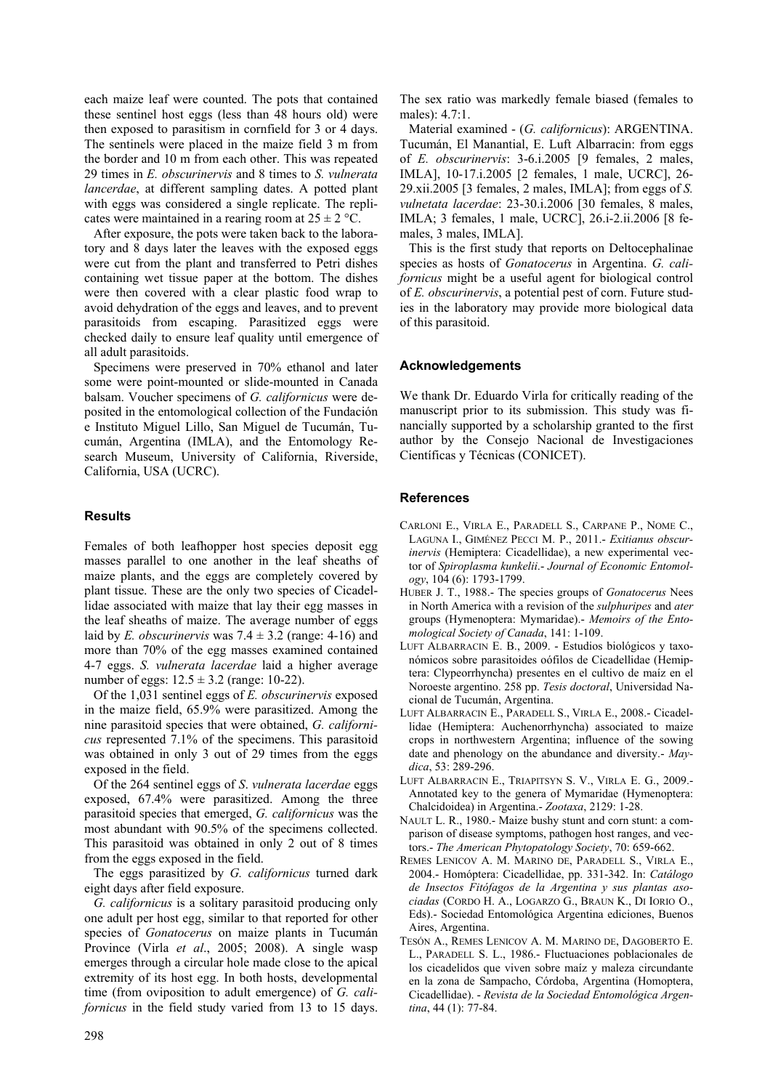each maize leaf were counted. The pots that contained these sentinel host eggs (less than 48 hours old) were then exposed to parasitism in cornfield for 3 or 4 days. The sentinels were placed in the maize field 3 m from the border and 10 m from each other. This was repeated 29 times in *E. obscurinervis* and 8 times to *S. vulnerata lancerdae*, at different sampling dates. A potted plant with eggs was considered a single replicate. The replicates were maintained in a rearing room at  $25 \pm 2$  °C.

After exposure, the pots were taken back to the laboratory and 8 days later the leaves with the exposed eggs were cut from the plant and transferred to Petri dishes containing wet tissue paper at the bottom. The dishes were then covered with a clear plastic food wrap to avoid dehydration of the eggs and leaves, and to prevent parasitoids from escaping. Parasitized eggs were checked daily to ensure leaf quality until emergence of all adult parasitoids.

Specimens were preserved in 70% ethanol and later some were point-mounted or slide-mounted in Canada balsam. Voucher specimens of *G. californicus* were deposited in the entomological collection of the Fundación e Instituto Miguel Lillo, San Miguel de Tucumán, Tucumán, Argentina (IMLA), and the Entomology Research Museum, University of California, Riverside, California, USA (UCRC).

# **Results**

Females of both leafhopper host species deposit egg masses parallel to one another in the leaf sheaths of maize plants, and the eggs are completely covered by plant tissue. These are the only two species of Cicadellidae associated with maize that lay their egg masses in the leaf sheaths of maize. The average number of eggs laid by *E. obscurinervis* was  $7.4 \pm 3.2$  (range: 4-16) and more than 70% of the egg masses examined contained 4-7 eggs. *S. vulnerata lacerdae* laid a higher average number of eggs:  $12.5 \pm 3.2$  (range: 10-22).

Of the 1,031 sentinel eggs of *E. obscurinervis* exposed in the maize field, 65.9% were parasitized. Among the nine parasitoid species that were obtained, *G. californicus* represented 7.1% of the specimens. This parasitoid was obtained in only 3 out of 29 times from the eggs exposed in the field.

Of the 264 sentinel eggs of *S*. *vulnerata lacerdae* eggs exposed, 67.4% were parasitized. Among the three parasitoid species that emerged, *G. californicus* was the most abundant with 90.5% of the specimens collected. This parasitoid was obtained in only 2 out of 8 times from the eggs exposed in the field.

The eggs parasitized by *G. californicus* turned dark eight days after field exposure.

*G. californicus* is a solitary parasitoid producing only one adult per host egg, similar to that reported for other species of *Gonatocerus* on maize plants in Tucumán Province (Virla *et al*., 2005; 2008). A single wasp emerges through a circular hole made close to the apical extremity of its host egg. In both hosts, developmental time (from oviposition to adult emergence) of *G. californicus* in the field study varied from 13 to 15 days. The sex ratio was markedly female biased (females to males): 4.7:1.

Material examined - (*G. californicus*): ARGENTINA. Tucumán, El Manantial, E. Luft Albarracin: from eggs of *E. obscurinervis*: 3-6.i.2005 [9 females, 2 males, IMLA], 10-17.i.2005 [2 females, 1 male, UCRC], 26- 29.xii.2005 [3 females, 2 males, IMLA]; from eggs of *S. vulnetata lacerdae*: 23-30.i.2006 [30 females, 8 males, IMLA; 3 females, 1 male, UCRC], 26.i-2.ii.2006 [8 females, 3 males, IMLA].

This is the first study that reports on Deltocephalinae species as hosts of *Gonatocerus* in Argentina. *G. californicus* might be a useful agent for biological control of *E. obscurinervis*, a potential pest of corn. Future studies in the laboratory may provide more biological data of this parasitoid.

## **Acknowledgements**

We thank Dr. Eduardo Virla for critically reading of the manuscript prior to its submission. This study was financially supported by a scholarship granted to the first author by the Consejo Nacional de Investigaciones Científicas y Técnicas (CONICET).

## **References**

- CARLONI E., VIRLA E., PARADELL S., CARPANE P., NOME C., LAGUNA I., GIMÉNEZ PECCI M. P., 2011.- *Exitianus obscurinervis* (Hemiptera: Cicadellidae), a new experimental vector of *Spiroplasma kunkelii*.- *Journal of Economic Entomology*, 104 (6): 1793-1799.
- HUBER J. T., 1988.- The species groups of *Gonatocerus* Nees in North America with a revision of the *sulphuripes* and *ater*  groups (Hymenoptera: Mymaridae).- *Memoirs of the Entomological Society of Canada*, 141: 1-109.
- LUFT ALBARRACIN E. B., 2009. Estudios biológicos y taxonómicos sobre parasitoides oófilos de Cicadellidae (Hemiptera: Clypeorrhyncha) presentes en el cultivo de maíz en el Noroeste argentino. 258 pp. *Tesis doctoral*, Universidad Nacional de Tucumán, Argentina.
- LUFT ALBARRACIN E., PARADELL S., VIRLA E., 2008.- Cicadellidae (Hemiptera: Auchenorrhyncha) associated to maize crops in northwestern Argentina; influence of the sowing date and phenology on the abundance and diversity.- *Maydica*, 53: 289-296.
- LUFT ALBARRACIN E., TRIAPITSYN S. V., VIRLA E. G., 2009.- Annotated key to the genera of Mymaridae (Hymenoptera: Chalcidoidea) in Argentina.- *Zootaxa*, 2129: 1-28.
- NAULT L. R., 1980.- Maize bushy stunt and corn stunt: a comparison of disease symptoms, pathogen host ranges, and vectors.- *The American Phytopatology Society*, 70: 659-662.
- REMES LENICOV A. M. MARINO DE, PARADELL S., VIRLA E., 2004.- Homóptera: Cicadellidae, pp. 331-342. In: *Catálogo de Insectos Fitófagos de la Argentina y sus plantas asociadas* (CORDO H. A., LOGARZO G., BRAUN K., DI IORIO O., Eds).- Sociedad Entomológica Argentina ediciones, Buenos Aires, Argentina.
- TESÓN A., REMES LENICOV A. M. MARINO DE, DAGOBERTO E. L., PARADELL S. L., 1986.- Fluctuaciones poblacionales de los cicadelidos que viven sobre maíz y maleza circundante en la zona de Sampacho, Córdoba, Argentina (Homoptera, Cicadellidae). - *Revista de la Sociedad Entomológica Argentina*, 44 (1): 77-84.